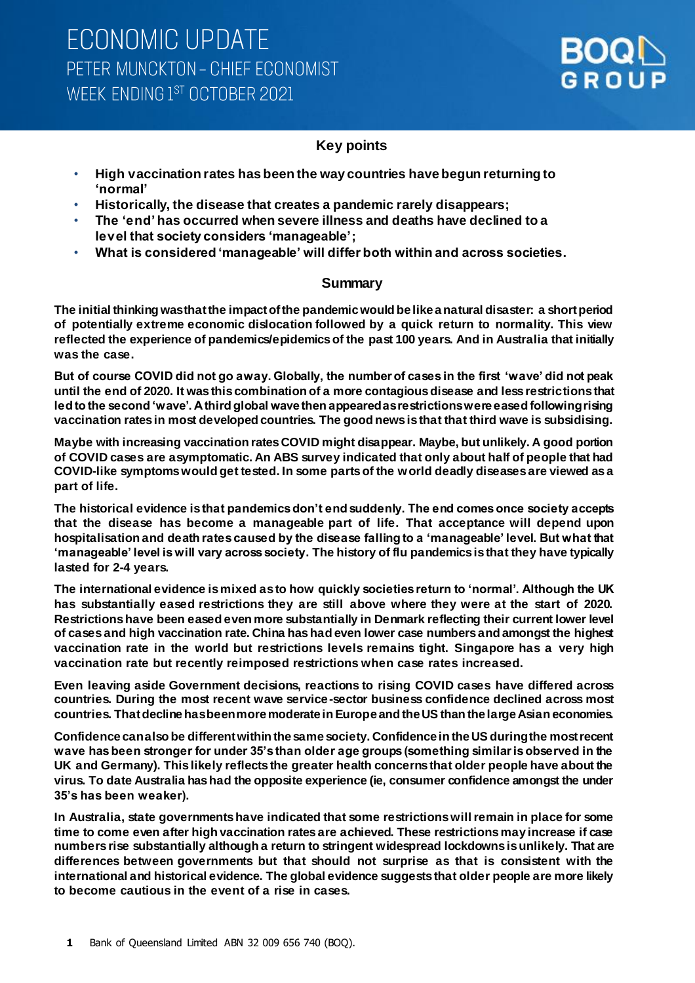### **Key points**

- **High vaccination rates has been the way countries have begun returning to 'normal'**
- **Historically, the disease that creates a pandemic rarely disappears;**
- **The 'end'has occurred when severe illness and deaths have declined to a level that society considers 'manageable';**
- **What is considered 'manageable' will differ both within and across societies.**

### **Summary**

**The initial thinking was that the impact of the pandemic would be like a natural disaster: a short period of potentially extreme economic dislocation followed by a quick return to normality. This view reflected the experience of pandemics/epidemics of the past 100 years. And in Australia that initially was the case.** 

**But of course COVID did not go away. Globally, the number of cases in the first 'wave' did not peak until the end of 2020. It was this combination of a more contagious disease and less restrictions that led to the second 'wave'. A third global wave then appeared as restrictions were eased following rising vaccination rates in most developed countries. The good news is that that third wave is subsidising.** 

**Maybe with increasing vaccination rates COVID might disappear. Maybe, but unlikely. A good portion of COVID cases are asymptomatic. An ABS survey indicated that only about half of people that had COVID-like symptoms would get tested. In some parts of the world deadly diseases are viewed as a part of life.** 

**The historical evidence isthat pandemics don't end suddenly. The end comes once society accepts that the disease has become a manageable part of life. That acceptance will depend upon hospitalisation and death rates caused by the disease falling to a 'manageable' level. But what that 'manageable' level is will vary across society. The history of flu pandemics is that they have typically lasted for 2-4 years.** 

**The international evidence is mixed as to how quickly societies return to 'normal'. Although the UK has substantially eased restrictions they are still above where they were at the start of 2020. Restrictions have been eased even more substantially in Denmark reflecting their current lower level of cases and high vaccination rate. China has had even lower case numbers and amongst the highest vaccination rate in the world but restrictions levels remains tight. Singapore has a very high vaccination rate but recently reimposed restrictions when case rates increased.**

**Even leaving aside Government decisions, reactions to rising COVID cases have differed across countries. During the most recent wave service-sector business confidence declined across most countries. That decline has been more moderate in Europe and the US than the large Asian economies.** 

**Confidence can also be different within the same society. Confidence in the US during the most recent wave has been stronger for under 35's than older age groups (something similar is observed in the UK and Germany). This likely reflects the greater health concerns that older people have about the virus. To date Australia has had the opposite experience (ie, consumer confidence amongst the under 35's has been weaker).** 

**In Australia, state governments have indicated that some restrictions will remain in place for some time to come even after high vaccination rates are achieved. These restrictions may increase if case numbers rise substantially although a return to stringent widespread lockdowns is unlikely. That are differences between governments but that should not surprise as that is consistent with the international and historical evidence. The global evidence suggests that older people are more likely to become cautious in the event of a rise in cases.**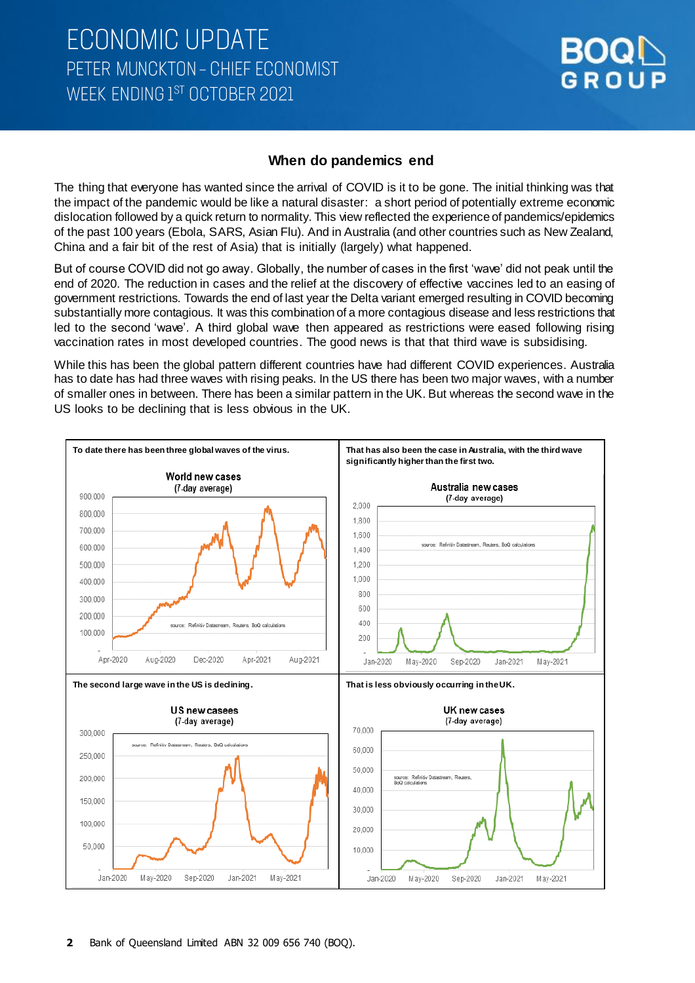

#### **When do pandemics end**

The thing that everyone has wanted since the arrival of COVID is it to be gone. The initial thinking was that the impact of the pandemic would be like a natural disaster: a short period of potentially extreme economic dislocation followed by a quick return to normality. This view reflected the experience of pandemics/epidemics of the past 100 years (Ebola, SARS, Asian Flu). And in Australia (and other countries such as New Zealand, China and a fair bit of the rest of Asia) that is initially (largely) what happened.

But of course COVID did not go away. Globally, the number of cases in the first 'wave' did not peak until the end of 2020. The reduction in cases and the relief at the discovery of effective vaccines led to an easing of government restrictions. Towards the end of last year the Delta variant emerged resulting in COVID becoming substantially more contagious. It was this combination of a more contagious disease and less restrictions that led to the second 'wave'. A third global wave then appeared as restrictions were eased following rising vaccination rates in most developed countries. The good news is that that third wave is subsidising.

While this has been the global pattern different countries have had different COVID experiences. Australia has to date has had three waves with rising peaks. In the US there has been two major waves, with a number of smaller ones in between. There has been a similar pattern in the UK. But whereas the second wave in the US looks to be declining that is less obvious in the UK.

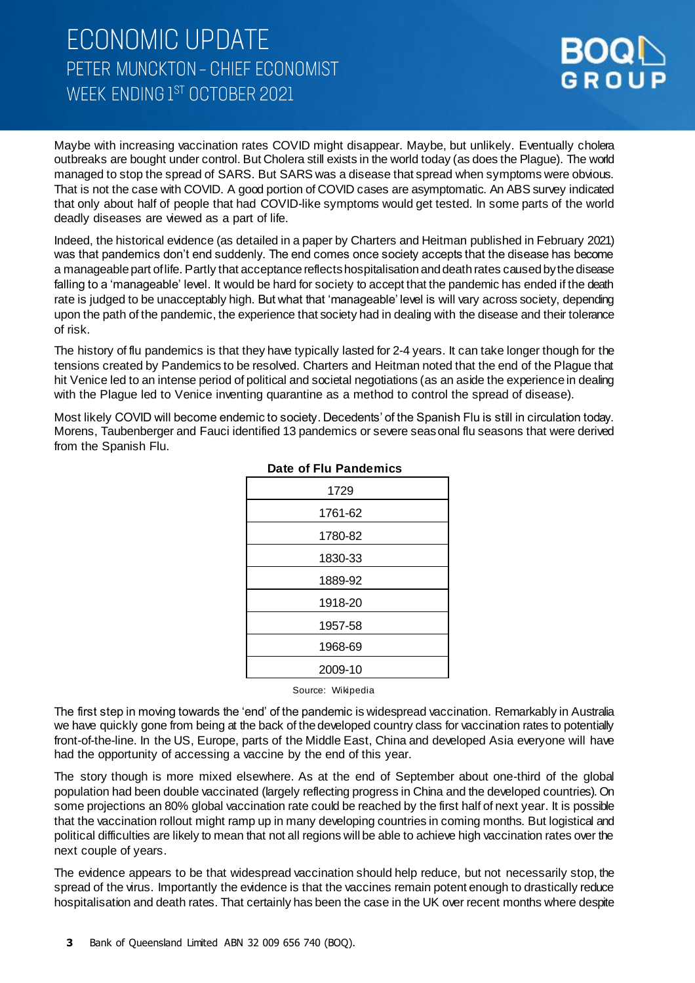# **ECONOMIC UPDATE** PETER MUNCKTON - CHIEF ECONOMIST WEEK ENDING 1ST OCTOBER 2021



Maybe with increasing vaccination rates COVID might disappear. Maybe, but unlikely. Eventually cholera outbreaks are bought under control. But Cholera still exists in the world today (as does the Plague). The world managed to stop the spread of SARS. But SARS was a disease that spread when symptoms were obvious. That is not the case with COVID. A good portion of COVID cases are asymptomatic. An ABS survey indicated that only about half of people that had COVID-like symptoms would get tested. In some parts of the world deadly diseases are viewed as a part of life.

Indeed, the historical evidence (as detailed in a paper by Charters and Heitman published in February 2021) was that pandemics don't end suddenly. The end comes once society accepts that the disease has become a manageable part of life. Partly that acceptance reflectshospitalisation and death rates caused by the disease falling to a 'manageable' level. It would be hard for society to accept that the pandemic has ended if the death rate is judged to be unacceptably high. But what that 'manageable' level is will vary across society, depending upon the path of the pandemic, the experience that society had in dealing with the disease and their tolerance of risk.

The history of flu pandemics is that they have typically lasted for 2-4 years. It can take longer though for the tensions created by Pandemics to be resolved. Charters and Heitman noted that the end of the Plague that hit Venice led to an intense period of political and societal negotiations (as an aside the experience in dealing with the Plague led to Venice inventing quarantine as a method to control the spread of disease).

Most likely COVID will become endemic to society. Decedents' of the Spanish Flu is still in circulation today. Morens, Taubenberger and Fauci identified 13 pandemics or severe seasonal flu seasons that were derived from the Spanish Flu.

| 1729    |
|---------|
| 1761-62 |
| 1780-82 |
| 1830-33 |
| 1889-92 |
| 1918-20 |
| 1957-58 |
| 1968-69 |
| 2009-10 |

#### **Date of Flu Pandemics**

Source: Wikipedia

The first step in moving towards the 'end' of the pandemic is widespread vaccination. Remarkably in Australia we have quickly gone from being at the back of the developed country class for vaccination rates to potentially front-of-the-line. In the US, Europe, parts of the Middle East, China and developed Asia everyone will have had the opportunity of accessing a vaccine by the end of this year.

The story though is more mixed elsewhere. As at the end of September about one-third of the global population had been double vaccinated (largely reflecting progress in China and the developed countries). On some projections an 80% global vaccination rate could be reached by the first half of next year. It is possible that the vaccination rollout might ramp up in many developing countries in coming months. But logistical and political difficulties are likely to mean that not all regions will be able to achieve high vaccination rates over the next couple of years.

The evidence appears to be that widespread vaccination should help reduce, but not necessarily stop, the spread of the virus. Importantly the evidence is that the vaccines remain potent enough to drastically reduce hospitalisation and death rates. That certainly has been the case in the UK over recent months where despite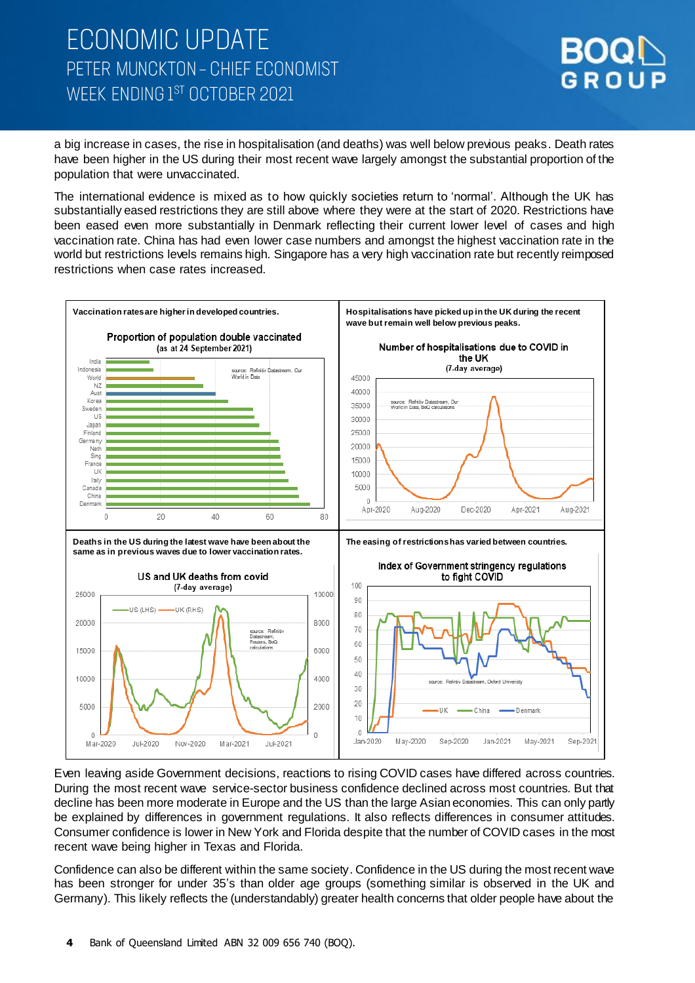

a big increase in cases, the rise in hospitalisation (and deaths) was well below previous peaks. Death rates have been higher in the US during their most recent wave largely amongst the substantial proportion of the population that were unvaccinated.

The international evidence is mixed as to how quickly societies return to 'normal'. Although the UK has substantially eased restrictions they are still above where they were at the start of 2020. Restrictions have been eased even more substantially in Denmark reflecting their current lower level of cases and high vaccination rate. China has had even lower case numbers and amongst the highest vaccination rate in the world but restrictions levels remains high. Singapore has a very high vaccination rate but recently reimposed restrictions when case rates increased.



Even leaving aside Government decisions, reactions to rising COVID cases have differed across countries. During the most recent wave service-sector business confidence declined across most countries. But that decline has been more moderate in Europe and the US than the large Asian economies. This can only partly be explained by differences in government regulations. It also reflects differences in consumer attitudes. Consumer confidence is lower in New York and Florida despite that the number of COVID cases in the most recent wave being higher in Texas and Florida.

Confidence can also be different within the same society. Confidence in the US during the most recent wave has been stronger for under 35's than older age groups (something similar is observed in the UK and Germany). This likely reflects the (understandably) greater health concerns that older people have about the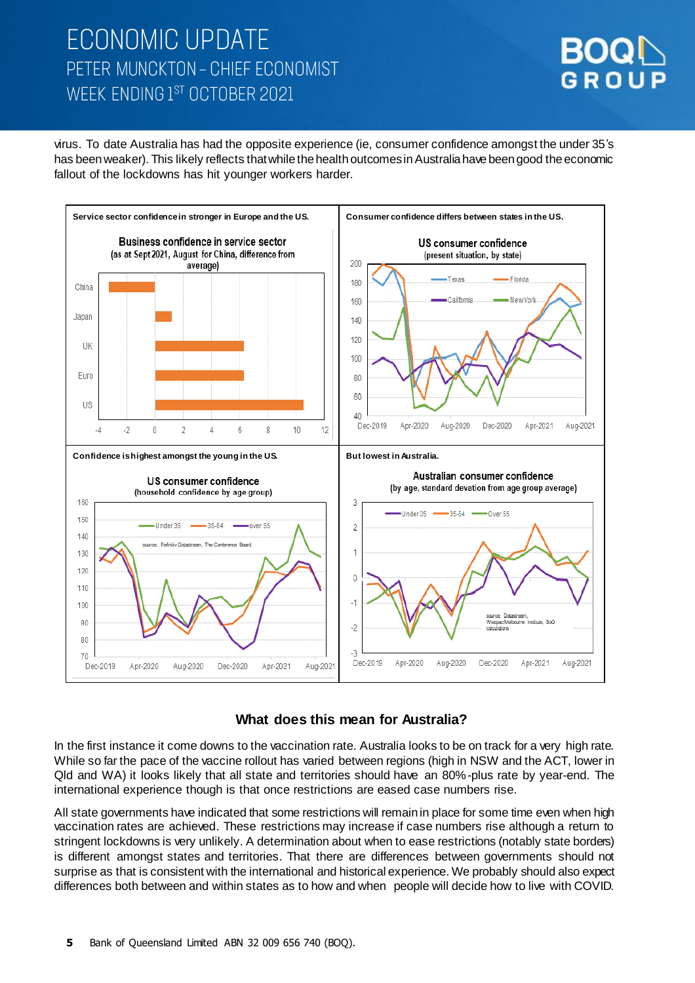# **ECONOMIC UPDATE** PETER MUNCKTON - CHIEF ECONOMIST WEEK ENDING 1ST OCTOBER 2021



virus. To date Australia has had the opposite experience (ie, consumer confidence amongst the under 35's has been weaker). This likely reflects that while the health outcomes in Australia have been good the economic fallout of the lockdowns has hit younger workers harder.



### **What does this mean for Australia?**

In the first instance it come downs to the vaccination rate. Australia looks to be on track for a very high rate. While so far the pace of the vaccine rollout has varied between regions (high in NSW and the ACT, lower in Qld and WA) it looks likely that all state and territories should have an 80%-plus rate by year-end. The international experience though is that once restrictions are eased case numbers rise.

All state governments have indicated that some restrictions will remain in place for some time even when high vaccination rates are achieved. These restrictions may increase if case numbers rise although a return to stringent lockdowns is very unlikely. A determination about when to ease restrictions (notably state borders) is different amongst states and territories. That there are differences between governments should not surprise as that is consistent with the international and historical experience. We probably should also expect differences both between and within states as to how and when people will decide how to live with COVID.